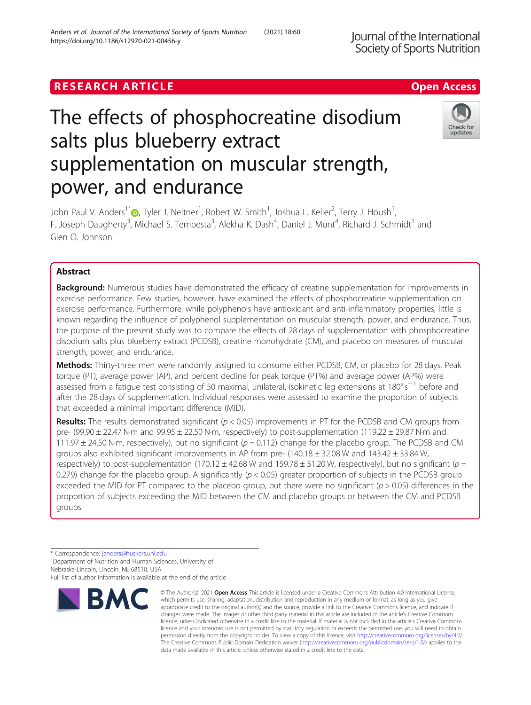# The effects of phosphocreatine disodium salts plus blueberry extract supplementation on muscular strength, power, and endurance

John Paul V. Anders $^1$   $\text{\small{\textsf{CD}}}$ [,](http://orcid.org/0000-0002-6416-3613) Tyler J. Neltner $^1$ , Robert W. Smith $^1$ , Joshua L. Keller $^2$ , Terry J. Housh $^1$ , F. Joseph Daugherty<sup>3</sup>, Michael S. Tempesta<sup>3</sup>, Alekha K. Dash<sup>4</sup>, Daniel J. Munt<sup>4</sup>, Richard J. Schmidt<sup>1</sup> and Glen O. Johnson<sup>1</sup>

# Abstract

**Background:** Numerous studies have demonstrated the efficacy of creatine supplementation for improvements in exercise performance. Few studies, however, have examined the effects of phosphocreatine supplementation on exercise performance. Furthermore, while polyphenols have antioxidant and anti-inflammatory properties, little is known regarding the influence of polyphenol supplementation on muscular strength, power, and endurance. Thus, the purpose of the present study was to compare the effects of 28 days of supplementation with phosphocreatine disodium salts plus blueberry extract (PCDSB), creatine monohydrate (CM), and placebo on measures of muscular strength, power, and endurance.

Methods: Thirty-three men were randomly assigned to consume either PCDSB, CM, or placebo for 28 days. Peak torque (PT), average power (AP), and percent decline for peak torque (PT%) and average power (AP%) were assessed from a fatigue test consisting of 50 maximal, unilateral, isokinetic leg extensions at 180°·s<sup>−1</sup> before and after the 28 days of supplementation. Individual responses were assessed to examine the proportion of subjects that exceeded a minimal important difference (MID).

**Results:** The results demonstrated significant ( $p < 0.05$ ) improvements in PT for the PCDSB and CM groups from pre-  $(99.90 \pm 22.47$  N·m and  $99.95 \pm 22.50$  N·m, respectively) to post-supplementation  $(119.22 \pm 29.87$  N·m and 111.97  $\pm$  24.50 N·m, respectively), but no significant ( $p = 0.112$ ) change for the placebo group. The PCDSB and CM groups also exhibited significant improvements in AP from pre-  $(140.18 \pm 32.08 \text{ W}$  and  $143.42 \pm 33.84 \text{ W}$ , respectively) to post-supplementation (170.12  $\pm$  42.68 W and 159.78  $\pm$  31.20 W, respectively), but no significant ( $p =$ 0.279) change for the placebo group. A significantly  $(p < 0.05)$  greater proportion of subjects in the PCDSB group exceeded the MID for PT compared to the placebo group, but there were no significant ( $p > 0.05$ ) differences in the proportion of subjects exceeding the MID between the CM and placebo groups or between the CM and PCDSB groups.







<sup>©</sup> The Author(s), 2021 **Open Access** This article is licensed under a Creative Commons Attribution 4.0 International License, which permits use, sharing, adaptation, distribution and reproduction in any medium or format, as long as you give appropriate credit to the original author(s) and the source, provide a link to the Creative Commons licence, and indicate if changes were made. The images or other third party material in this article are included in the article's Creative Commons licence, unless indicated otherwise in a credit line to the material. If material is not included in the article's Creative Commons licence and your intended use is not permitted by statutory regulation or exceeds the permitted use, you will need to obtain permission directly from the copyright holder. To view a copy of this licence, visit [http://creativecommons.org/licenses/by/4.0/.](http://creativecommons.org/licenses/by/4.0/) The Creative Commons Public Domain Dedication waiver [\(http://creativecommons.org/publicdomain/zero/1.0/](http://creativecommons.org/publicdomain/zero/1.0/)) applies to the data made available in this article, unless otherwise stated in a credit line to the data.

<sup>\*</sup> Correspondence: [janders@huskers.unl.edu](mailto:janders@huskers.unl.edu) <sup>1</sup>

<sup>&</sup>lt;sup>1</sup>Department of Nutrition and Human Sciences, University of Nebraska-Lincoln, Lincoln, NE 68510, USA

Full list of author information is available at the end of the article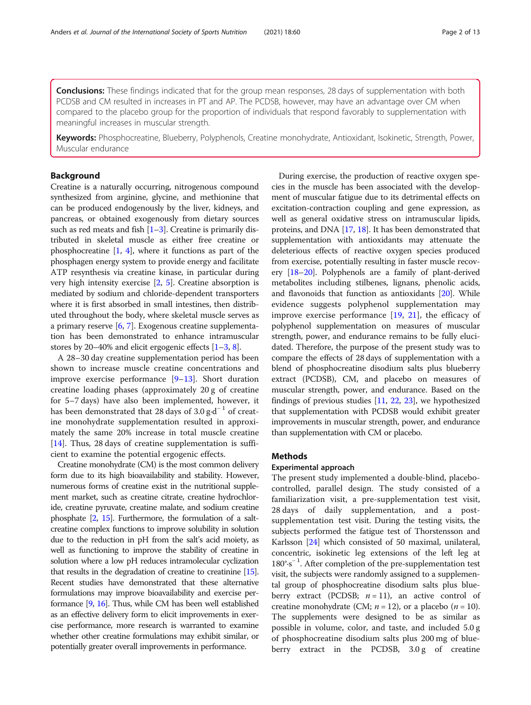**Conclusions:** These findings indicated that for the group mean responses, 28 days of supplementation with both PCDSB and CM resulted in increases in PT and AP. The PCDSB, however, may have an advantage over CM when compared to the placebo group for the proportion of individuals that respond favorably to supplementation with meaningful increases in muscular strength.

Keywords: Phosphocreatine, Blueberry, Polyphenols, Creatine monohydrate, Antioxidant, Isokinetic, Strength, Power, Muscular endurance

# Background

Creatine is a naturally occurring, nitrogenous compound synthesized from arginine, glycine, and methionine that can be produced endogenously by the liver, kidneys, and pancreas, or obtained exogenously from dietary sources such as red meats and fish  $[1-3]$  $[1-3]$  $[1-3]$  $[1-3]$  $[1-3]$ . Creatine is primarily distributed in skeletal muscle as either free creatine or phosphocreatine  $[1, 4]$  $[1, 4]$  $[1, 4]$ , where it functions as part of the phosphagen energy system to provide energy and facilitate ATP resynthesis via creatine kinase, in particular during very high intensity exercise [\[2](#page-10-0), [5\]](#page-10-0). Creatine absorption is mediated by sodium and chloride-dependent transporters where it is first absorbed in small intestines, then distributed throughout the body, where skeletal muscle serves as a primary reserve [\[6](#page-10-0), [7](#page-10-0)]. Exogenous creatine supplementation has been demonstrated to enhance intramuscular stores by 20–40% and elicit ergogenic effects [[1](#page-10-0)–[3](#page-10-0), [8\]](#page-10-0).

A 28–30 day creatine supplementation period has been shown to increase muscle creatine concentrations and improve exercise performance  $[9-13]$  $[9-13]$  $[9-13]$  $[9-13]$  $[9-13]$ . Short duration creatine loading phases (approximately 20 g of creatine for 5–7 days) have also been implemented, however, it has been demonstrated that 28 days of 3.0  $\text{g} \cdot \text{d}^{-1}$  of creatine monohydrate supplementation resulted in approximately the same 20% increase in total muscle creatine [[14\]](#page-11-0). Thus, 28 days of creatine supplementation is sufficient to examine the potential ergogenic effects.

Creatine monohydrate (CM) is the most common delivery form due to its high bioavailability and stability. However, numerous forms of creatine exist in the nutritional supplement market, such as creatine citrate, creatine hydrochloride, creatine pyruvate, creatine malate, and sodium creatine phosphate [\[2](#page-10-0), [15\]](#page-11-0). Furthermore, the formulation of a saltcreatine complex functions to improve solubility in solution due to the reduction in pH from the salt's acid moiety, as well as functioning to improve the stability of creatine in solution where a low pH reduces intramolecular cyclization that results in the degradation of creatine to creatinine [\[15](#page-11-0)]. Recent studies have demonstrated that these alternative formulations may improve bioavailability and exercise performance [\[9,](#page-10-0) [16](#page-11-0)]. Thus, while CM has been well established as an effective delivery form to elicit improvements in exercise performance, more research is warranted to examine whether other creatine formulations may exhibit similar, or potentially greater overall improvements in performance.

During exercise, the production of reactive oxygen species in the muscle has been associated with the development of muscular fatigue due to its detrimental effects on excitation-contraction coupling and gene expression, as well as general oxidative stress on intramuscular lipids, proteins, and DNA [[17](#page-11-0), [18\]](#page-11-0). It has been demonstrated that supplementation with antioxidants may attenuate the deleterious effects of reactive oxygen species produced from exercise, potentially resulting in faster muscle recovery [\[18](#page-11-0)–[20\]](#page-11-0). Polyphenols are a family of plant-derived metabolites including stilbenes, lignans, phenolic acids, and flavonoids that function as antioxidants [\[20\]](#page-11-0). While evidence suggests polyphenol supplementation may improve exercise performance [\[19](#page-11-0), [21\]](#page-11-0), the efficacy of polyphenol supplementation on measures of muscular strength, power, and endurance remains to be fully elucidated. Therefore, the purpose of the present study was to compare the effects of 28 days of supplementation with a blend of phosphocreatine disodium salts plus blueberry extract (PCDSB), CM, and placebo on measures of muscular strength, power, and endurance. Based on the findings of previous studies [\[11,](#page-10-0) [22,](#page-11-0) [23](#page-11-0)], we hypothesized that supplementation with PCDSB would exhibit greater improvements in muscular strength, power, and endurance than supplementation with CM or placebo.

# Methods

#### Experimental approach

The present study implemented a double-blind, placebocontrolled, parallel design. The study consisted of a familiarization visit, a pre-supplementation test visit, 28 days of daily supplementation, and a postsupplementation test visit. During the testing visits, the subjects performed the fatigue test of Thorstensson and Karlsson [[24](#page-11-0)] which consisted of 50 maximal, unilateral, concentric, isokinetic leg extensions of the left leg at 180°·s<sup>-1</sup>. After completion of the pre-supplementation test visit, the subjects were randomly assigned to a supplemental group of phosphocreatine disodium salts plus blueberry extract (PCDSB;  $n = 11$ ), an active control of creatine monohydrate (CM;  $n = 12$ ), or a placebo ( $n = 10$ ). The supplements were designed to be as similar as possible in volume, color, and taste, and included 5.0 g of phosphocreatine disodium salts plus 200 mg of blueberry extract in the PCDSB, 3.0g of creatine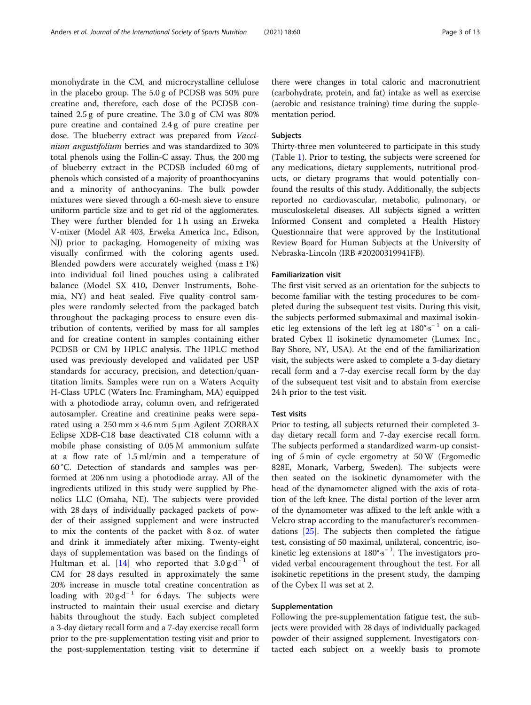monohydrate in the CM, and microcrystalline cellulose in the placebo group. The 5.0 g of PCDSB was 50% pure creatine and, therefore, each dose of the PCDSB contained 2.5 g of pure creatine. The 3.0 g of CM was 80% pure creatine and contained 2.4 g of pure creatine per dose. The blueberry extract was prepared from Vaccinium angustifolium berries and was standardized to 30% total phenols using the Follin-C assay. Thus, the 200 mg of blueberry extract in the PCDSB included 60 mg of phenols which consisted of a majority of proanthocyanins and a minority of anthocyanins. The bulk powder mixtures were sieved through a 60-mesh sieve to ensure uniform particle size and to get rid of the agglomerates. They were further blended for 1 h using an Erweka V-mixer (Model AR 403, Erweka America Inc., Edison, NJ) prior to packaging. Homogeneity of mixing was visually confirmed with the coloring agents used. Blended powders were accurately weighed (mass  $\pm$  1%) into individual foil lined pouches using a calibrated balance (Model SX 410, Denver Instruments, Bohemia, NY) and heat sealed. Five quality control samples were randomly selected from the packaged batch throughout the packaging process to ensure even distribution of contents, verified by mass for all samples and for creatine content in samples containing either PCDSB or CM by HPLC analysis. The HPLC method used was previously developed and validated per USP standards for accuracy, precision, and detection/quantitation limits. Samples were run on a Waters Acquity H-Class UPLC (Waters Inc. Framingham, MA) equipped with a photodiode array, column oven, and refrigerated autosampler. Creatine and creatinine peaks were separated using a  $250 \text{ mm} \times 4.6 \text{ mm}$  5  $\mu$ m Agilent ZORBAX Eclipse XDB-C18 base deactivated C18 column with a mobile phase consisting of 0.05 M ammonium sulfate at a flow rate of 1.5 ml/min and a temperature of 60 °C. Detection of standards and samples was performed at 206 nm using a photodiode array. All of the ingredients utilized in this study were supplied by Phenolics LLC (Omaha, NE). The subjects were provided with 28 days of individually packaged packets of powder of their assigned supplement and were instructed to mix the contents of the packet with 8 oz. of water and drink it immediately after mixing. Twenty-eight days of supplementation was based on the findings of Hultman et al. [[14\]](#page-11-0) who reported that  $3.0 \text{ g} \cdot \text{d}^{-1}$  of CM for 28 days resulted in approximately the same 20% increase in muscle total creatine concentration as loading with  $20 g \cdot d^{-1}$  for 6 days. The subjects were instructed to maintain their usual exercise and dietary habits throughout the study. Each subject completed a 3-day dietary recall form and a 7-day exercise recall form prior to the pre-supplementation testing visit and prior to the post-supplementation testing visit to determine if there were changes in total caloric and macronutrient (carbohydrate, protein, and fat) intake as well as exercise (aerobic and resistance training) time during the supplementation period.

## Subjects

Thirty-three men volunteered to participate in this study (Table [1\)](#page-3-0). Prior to testing, the subjects were screened for any medications, dietary supplements, nutritional products, or dietary programs that would potentially confound the results of this study. Additionally, the subjects reported no cardiovascular, metabolic, pulmonary, or musculoskeletal diseases. All subjects signed a written Informed Consent and completed a Health History Questionnaire that were approved by the Institutional Review Board for Human Subjects at the University of Nebraska-Lincoln (IRB #20200319941FB).

## Familiarization visit

The first visit served as an orientation for the subjects to become familiar with the testing procedures to be completed during the subsequent test visits. During this visit, the subjects performed submaximal and maximal isokinetic leg extensions of the left leg at  $180^\circ \cdot s^{-1}$  on a calibrated Cybex II isokinetic dynamometer (Lumex Inc., Bay Shore, NY, USA). At the end of the familiarization visit, the subjects were asked to complete a 3-day dietary recall form and a 7-day exercise recall form by the day of the subsequent test visit and to abstain from exercise 24 h prior to the test visit.

### Test visits

Prior to testing, all subjects returned their completed 3 day dietary recall form and 7-day exercise recall form. The subjects performed a standardized warm-up consisting of 5 min of cycle ergometry at 50 W (Ergomedic 828E, Monark, Varberg, Sweden). The subjects were then seated on the isokinetic dynamometer with the head of the dynamometer aligned with the axis of rotation of the left knee. The distal portion of the lever arm of the dynamometer was affixed to the left ankle with a Velcro strap according to the manufacturer's recommendations [[25\]](#page-11-0). The subjects then completed the fatigue test, consisting of 50 maximal, unilateral, concentric, isokinetic leg extensions at 180°·s<sup>−</sup> <sup>1</sup> . The investigators provided verbal encouragement throughout the test. For all isokinetic repetitions in the present study, the damping of the Cybex II was set at 2.

## Supplementation

Following the pre-supplementation fatigue test, the subjects were provided with 28 days of individually packaged powder of their assigned supplement. Investigators contacted each subject on a weekly basis to promote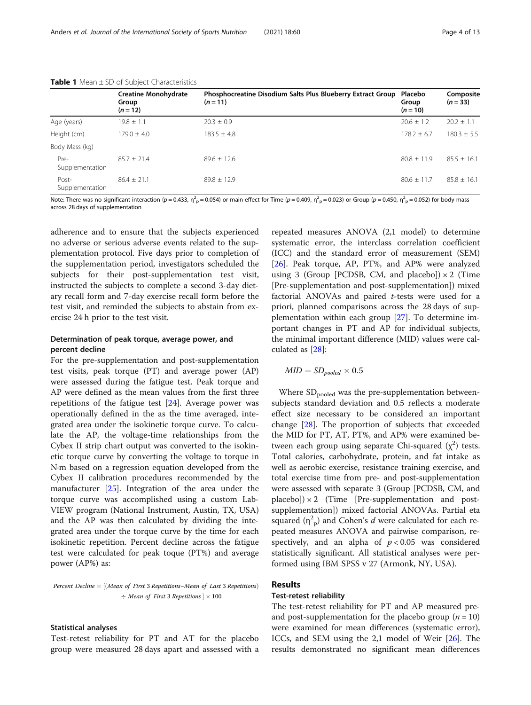|                          | <b>Creatine Monohydrate</b><br>Group<br>$(n = 12)$ | Phosphocreatine Disodium Salts Plus Blueberry Extract Group<br>$(n = 11)$ | Placebo<br>Group<br>$(n = 10)$ | Composite<br>$(n = 33)$ |
|--------------------------|----------------------------------------------------|---------------------------------------------------------------------------|--------------------------------|-------------------------|
| Age (years)              | $19.8 \pm 1.1$                                     | $20.3 \pm 0.9$                                                            | $20.6 + 1.2$                   | $20.2 + 1.1$            |
| Height (cm)              | $179.0 + 4.0$                                      | $183.5 + 4.8$                                                             | $178.2 + 6.7$                  | $180.3 \pm 5.5$         |
| Body Mass (kg)           |                                                    |                                                                           |                                |                         |
| Pre-<br>Supplementation  | $85.7 + 21.4$                                      | $89.6 + 12.6$                                                             | $80.8 + 11.9$                  | $85.5 \pm 16.1$         |
| Post-<br>Supplementation | $86.4 + 21.1$                                      | $89.8 + 12.9$                                                             | $80.6 + 11.7$                  | $85.8 + 16.1$           |

#### <span id="page-3-0"></span>**Table 1** Mean  $\pm$  SD of Subject Characteristics

Note: There was no significant interaction (p = 0.433,  $\eta^2$  = 0.054) or main effect for Time (p = 0.409,  $\eta^2$  = 0.023) or Group (p = 0.450,  $\eta^2$  = 0.052) for body mass across 28 days of supplementation

adherence and to ensure that the subjects experienced no adverse or serious adverse events related to the supplementation protocol. Five days prior to completion of the supplementation period, investigators scheduled the subjects for their post-supplementation test visit, instructed the subjects to complete a second 3-day dietary recall form and 7-day exercise recall form before the test visit, and reminded the subjects to abstain from exercise 24 h prior to the test visit.

# Determination of peak torque, average power, and percent decline

For the pre-supplementation and post-supplementation test visits, peak torque (PT) and average power (AP) were assessed during the fatigue test. Peak torque and AP were defined as the mean values from the first three repetitions of the fatigue test [[24](#page-11-0)]. Average power was operationally defined in the as the time averaged, integrated area under the isokinetic torque curve. To calculate the AP, the voltage-time relationships from the Cybex II strip chart output was converted to the isokinetic torque curve by converting the voltage to torque in N·m based on a regression equation developed from the Cybex II calibration procedures recommended by the manufacturer [[25\]](#page-11-0). Integration of the area under the torque curve was accomplished using a custom Lab-VIEW program (National Instrument, Austin, TX, USA) and the AP was then calculated by dividing the integrated area under the torque curve by the time for each isokinetic repetition. Percent decline across the fatigue test were calculated for peak toque (PT%) and average power (AP%) as:

Percent Decline =  $[(Mean of First 3 Repetitions-Mean of Last 3 Repetitions)]$  $\div$  Mean of First 3 Repetitions  $] \times 100$ 

#### Statistical analyses

Test-retest reliability for PT and AT for the placebo group were measured 28 days apart and assessed with a

repeated measures ANOVA (2,1 model) to determine systematic error, the interclass correlation coefficient (ICC) and the standard error of measurement (SEM) [[26\]](#page-11-0). Peak torque, AP, PT%, and AP% were analyzed using 3 (Group [PCDSB, CM, and placebo])  $\times$  2 (Time [Pre-supplementation and post-supplementation]) mixed factorial ANOVAs and paired  $t$ -tests were used for a priori, planned comparisons across the 28 days of supplementation within each group [\[27\]](#page-11-0). To determine important changes in PT and AP for individual subjects, the minimal important difference (MID) values were calculated as [\[28](#page-11-0)]:

$$
MID = SD_{pooled} \times 0.5
$$

Where SD<sub>pooled</sub> was the pre-supplementation betweensubjects standard deviation and 0.5 reflects a moderate effect size necessary to be considered an important change [\[28](#page-11-0)]. The proportion of subjects that exceeded the MID for PT, AT, PT%, and AP% were examined between each group using separate Chi-squared  $(\chi^2)$  tests. Total calories, carbohydrate, protein, and fat intake as well as aerobic exercise, resistance training exercise, and total exercise time from pre- and post-supplementation were assessed with separate 3 (Group [PCDSB, CM, and  $placebo]$ ) × 2 (Time [Pre-supplementation and postsupplementation]) mixed factorial ANOVAs. Partial eta squared  $(\eta^2$ <sub>p</sub>) and Cohen's *d* were calculated for each repeated measures ANOVA and pairwise comparison, respectively, and an alpha of  $p < 0.05$  was considered statistically significant. All statistical analyses were performed using IBM SPSS v 27 (Armonk, NY, USA).

# Results

## Test-retest reliability

The test-retest reliability for PT and AP measured preand post-supplementation for the placebo group ( $n = 10$ ) were examined for mean differences (systematic error), ICCs, and SEM using the 2,1 model of Weir [\[26\]](#page-11-0). The results demonstrated no significant mean differences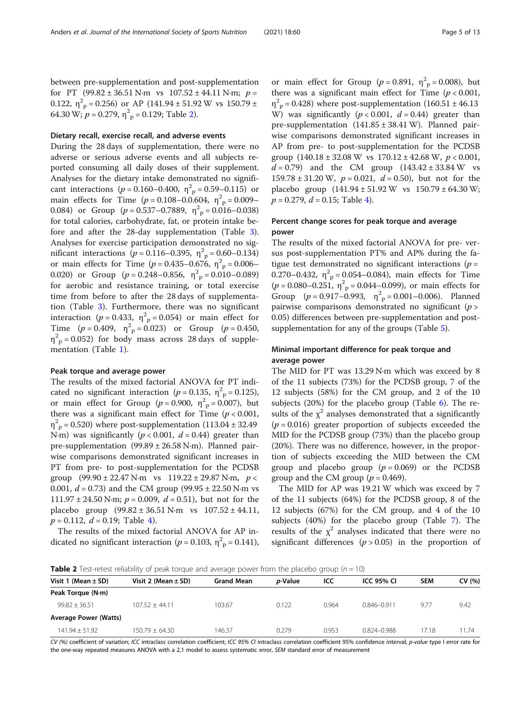<span id="page-4-0"></span>between pre-supplementation and post-supplementation for PT (99.82 ± 36.51 N·m vs  $107.52 \pm 44.11$  N·m;  $p =$ 0.122,  $\eta^2$ <sub>p</sub> = 0.256) or AP (141.94 ± 51.92 W vs 150.79 ± 64.30 W;  $p = 0.279$ ,  $\eta_{\text{p}}^2 = 0.129$ ; Table 2).

## Dietary recall, exercise recall, and adverse events

During the 28 days of supplementation, there were no adverse or serious adverse events and all subjects reported consuming all daily doses of their supplement. Analyses for the dietary intake demonstrated no significant interactions ( $p = 0.160 - 0.400$ ,  $\eta_p^2 = 0.59 - 0.115$ ) or main effects for Time  $(p = 0.108 - 0.0604, \eta^2 \text{P} = 0.009 - 0.009$ 0.084) or Group  $(p = 0.537 - 0.7889, \eta_{\text{p}}^2 = 0.016 - 0.038)$ for total calories, carbohydrate, fat, or protein intake before and after the 28-day supplementation (Table [3](#page-5-0)). Analyses for exercise participation demonstrated no significant interactions ( $p = 0.116 - 0.395$ ,  $\eta_p^2 = 0.60 - 0.134$ ) or main effects for Time ( $p = 0.435 - 0.676$ ,  $\eta^2$ <sub>p</sub> = 0.006– 0.020) or Group  $(p = 0.248 - 0.856, \eta^2 \text{P} = 0.010 - 0.089)$ for aerobic and resistance training, or total exercise time from before to after the 28 days of supplementation (Table [3\)](#page-5-0). Furthermore, there was no significant interaction ( $p = 0.433$ ,  $\eta^2$ <sub>p</sub> = 0.054) or main effect for Time  $(p = 0.409, \eta^2 = 0.023)$  or Group  $(p = 0.450,$  $\eta_{\text{p}}^2$  = 0.052) for body mass across 28 days of supplementation (Table [1\)](#page-3-0).

## Peak torque and average power

The results of the mixed factorial ANOVA for PT indicated no significant interaction ( $p = 0.135$ ,  $\eta_{\text{p}}^2 = 0.125$ ), or main effect for Group ( $p = 0.900$ ,  $\eta_{\text{p}}^2 = 0.007$ ), but there was a significant main effect for Time  $(p < 0.001,$  $\eta^2$ <sub>p</sub> = 0.520) where post-supplementation (113.04 ± 32.49 N·m) was significantly ( $p < 0.001$ ,  $d = 0.44$ ) greater than pre-supplementation (99.89 ± 26.58 N·m). Planned pairwise comparisons demonstrated significant increases in PT from pre- to post-supplementation for the PCDSB group  $(99.90 \pm 22.47 \text{ N} \cdot \text{m}$  vs  $119.22 \pm 29.87 \text{ N} \cdot \text{m}$ ,  $p <$ 0.001,  $d = 0.73$ ) and the CM group (99.95 ± 22.50 N·m vs 111.97  $\pm$  24.50 N·m;  $p = 0.009$ ,  $d = 0.51$ ), but not for the placebo group  $(99.82 \pm 36.51 \text{ N} \cdot \text{m} \text{ vs } 107.52 \pm 44.11,$  $p = 0.112$ ,  $d = 0.19$ ; Table [4\)](#page-5-0).

The results of the mixed factorial ANOVA for AP indicated no significant interaction ( $p = 0.103$ ,  $\eta_{\text{p}}^2 = 0.141$ ),

or main effect for Group ( $p = 0.891$ ,  $\eta_{\text{p}}^2 = 0.008$ ), but there was a significant main effect for Time  $(p < 0.001$ ,  $η<sup>2</sup><sub>p</sub> = 0.428$ ) where post-supplementation (160.51 ± 46.13 W) was significantly  $(p < 0.001, d = 0.44)$  greater than pre-supplementation (141.85 ± 38.41 W). Planned pairwise comparisons demonstrated significant increases in AP from pre- to post-supplementation for the PCDSB group  $(140.18 \pm 32.08 \text{ W} \text{ vs } 170.12 \pm 42.68 \text{ W}, p < 0.001,$  $d = 0.79$ ) and the CM group  $(143.42 \pm 33.84 \text{ W}$  vs  $159.78 \pm 31.20$  W,  $p = 0.021$ ,  $d = 0.50$ , but not for the placebo group  $(141.94 \pm 51.92 \text{ W} \text{ vs } 150.79 \pm 64.30 \text{ W};$  $p = 0.279$ ,  $d = 0.15$ ; Table [4](#page-5-0)).

# Percent change scores for peak torque and average power

The results of the mixed factorial ANOVA for pre- versus post-supplementation PT% and AP% during the fatigue test demonstrated no significant interactions ( $p =$ 0.270–0.432,  $\eta^2$ <sub>p</sub> = 0.054–0.084), main effects for Time  $(p = 0.080 - 0.251, \eta^2$ <sub>p</sub> = 0.044–0.099), or main effects for Group  $(p = 0.917 - 0.993, \eta^2 = 0.001 - 0.006)$ . Planned pairwise comparisons demonstrated no significant  $(p >$ 0.05) differences between pre-supplementation and postsupplementation for any of the groups (Table [5](#page-6-0)).

# Minimal important difference for peak torque and average power

The MID for PT was 13.29 N·m which was exceed by 8 of the 11 subjects (73%) for the PCDSB group, 7 of the 12 subjects (58%) for the CM group, and 2 of the 10 subjects (20%) for the placebo group (Table [6\)](#page-6-0). The results of the  $\chi^2$  analyses demonstrated that a significantly  $(p = 0.016)$  greater proportion of subjects exceeded the MID for the PCDSB group (73%) than the placebo group (20%). There was no difference, however, in the proportion of subjects exceeding the MID between the CM group and placebo group  $(p = 0.069)$  or the PCDSB group and the CM group ( $p = 0.469$ ).

The MID for AP was 19.21 W which was exceed by 7 of the 11 subjects (64%) for the PCDSB group, 8 of the 12 subjects (67%) for the CM group, and 4 of the 10 subjects (40%) for the placebo group (Table [7](#page-7-0)). The results of the  $\chi^2$  analyses indicated that there were no significant differences ( $p > 0.05$ ) in the proportion of

**Table 2** Test-retest reliability of peak torque and average power from the placebo group ( $n = 10$ )

| Visit 1 (Mean $\pm$ SD)      | Visit 2 (Mean $\pm$ SD) | <b>Grand Mean</b> | <i>p</i> -Value | ICC   | <b>ICC 95% CI</b> | <b>SEM</b> | CV (%) |
|------------------------------|-------------------------|-------------------|-----------------|-------|-------------------|------------|--------|
| Peak Torque (N·m)            |                         |                   |                 |       |                   |            |        |
| $99.82 + 36.51$              | $107.52 + 44.11$        | 103.67            | 0.122           | 0.964 | $0.846 - 0.911$   | 9.77       | 9.42   |
| <b>Average Power (Watts)</b> |                         |                   |                 |       |                   |            |        |
| $141.94 + 51.92$             | 150.79 + 64.30          | 146.37            | 0.279           | 0.953 | $0.824 - 0.988$   | 17.18      | 11.74  |

CV (%) coefficient of variation; ICC intraclass correlation coefficient; ICC 95% CI intraclass correlation coefficient 95% confidence interval; p-value type I error rate for the one-way repeated measures ANOVA with a 2,1 model to assess systematic error, SEM standard error of measurement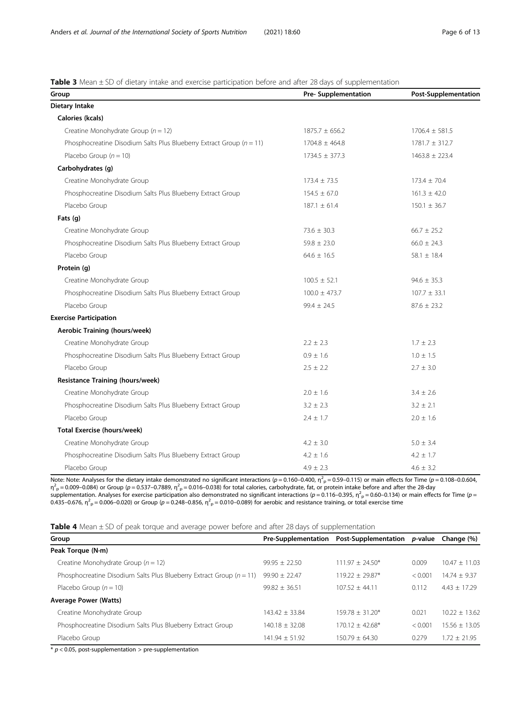# <span id="page-5-0"></span>**Table 3** Mean  $\pm$  SD of dietary intake and exercise participation before and after 28 days of supplementation

| Group                                                                    | <b>Pre- Supplementation</b> | <b>Post-Supplementation</b> |
|--------------------------------------------------------------------------|-----------------------------|-----------------------------|
| Dietary Intake                                                           |                             |                             |
| Calories (kcals)                                                         |                             |                             |
| Creatine Monohydrate Group ( $n = 12$ )                                  | $1875.7 \pm 656.2$          | $1706.4 \pm 581.5$          |
| Phosphocreatine Disodium Salts Plus Blueberry Extract Group ( $n = 11$ ) | $1704.8 \pm 464.8$          | $1781.7 \pm 312.7$          |
| Placebo Group $(n = 10)$                                                 | $1734.5 \pm 377.3$          | $1463.8 \pm 223.4$          |
| Carbohydrates (q)                                                        |                             |                             |
| Creatine Monohydrate Group                                               | $173.4 \pm 73.5$            | $173.4 \pm 70.4$            |
| Phosphocreatine Disodium Salts Plus Blueberry Extract Group              | $154.5 \pm 67.0$            | $161.3 \pm 42.0$            |
| Placebo Group                                                            | $187.1 \pm 61.4$            | $150.1 \pm 36.7$            |
| Fats (g)                                                                 |                             |                             |
| Creatine Monohydrate Group                                               | $73.6 \pm 30.3$             | $66.7 \pm 25.2$             |
| Phosphocreatine Disodium Salts Plus Blueberry Extract Group              | $59.8 \pm 23.0$             | $66.0 \pm 24.3$             |
| Placebo Group                                                            | $64.6 \pm 16.5$             | 58.1 $\pm$ 18.4             |
| Protein (g)                                                              |                             |                             |
| Creatine Monohydrate Group                                               | $100.5 \pm 52.1$            | $94.6 \pm 35.3$             |
| Phosphocreatine Disodium Salts Plus Blueberry Extract Group              | $100.0 \pm 473.7$           | $107.7 \pm 33.1$            |
| Placebo Group                                                            | $99.4 \pm 24.5$             | $87.6 \pm 23.2$             |
| <b>Exercise Participation</b>                                            |                             |                             |
| Aerobic Training (hours/week)                                            |                             |                             |
| Creatine Monohydrate Group                                               | $2.2 \pm 2.3$               | $1.7 \pm 2.3$               |
| Phosphocreatine Disodium Salts Plus Blueberry Extract Group              | $0.9 \pm 1.6$               | $1.0 \pm 1.5$               |
| Placebo Group                                                            | $2.5 \pm 2.2$               | $2.7 \pm 3.0$               |
| <b>Resistance Training (hours/week)</b>                                  |                             |                             |
| Creatine Monohydrate Group                                               | $2.0 \pm 1.6$               | $3.4 \pm 2.6$               |
| Phosphocreatine Disodium Salts Plus Blueberry Extract Group              | $3.2 \pm 2.3$               | $3.2 \pm 2.1$               |
| Placebo Group                                                            | $2.4 \pm 1.7$               | $2.0 \pm 1.6$               |
| <b>Total Exercise (hours/week)</b>                                       |                             |                             |
| Creatine Monohydrate Group                                               | $4.2 \pm 3.0$               | $5.0 \pm 3.4$               |
| Phosphocreatine Disodium Salts Plus Blueberry Extract Group              | $4.2 \pm 1.6$               | $4.2 \pm 1.7$               |
| Placebo Group                                                            | $4.9 \pm 2.3$               | $4.6 \pm 3.2$               |

Note: Note: Analyses for the dietary intake demonstrated no significant interactions ( $p = 0.160$ –0.400,  $\eta_{\text{p}}^2$  = 0.59–0.115) or main effects for Time ( $p = 0.108$ –0.0.604, η<sup>2</sup><sub>P</sub> = 0.009–0.084) or Group (ρ = 0.537–0.7889, η<sup>2</sup><sub>P</sub> = 0.016–0.038) for total calories, carbohydrate, fat, or protein intake before and after the 28-day supplementation. Analyses for exercise participation also demonstrated no significant interactions ( $p = 0.116 - 0.395$ ,  $\eta^2 = 0.60 - 0.134$ ) or main effects for Time ( $p = 0.16$ 0.435–0.676,  $\eta_{\text{p}}^2$  = 0.006–0.020) or Group (p = 0.248–0.856,  $\eta_{\text{p}}^2$  = 0.010–0.089) for aerobic and resistance training, or total exercise time

Table 4 Mean ± SD of peak torque and average power before and after 28 days of supplementation

| Group                                                                    | <b>Pre-Supplementation</b> | Post-Supplementation p-value |         | Change (%)      |
|--------------------------------------------------------------------------|----------------------------|------------------------------|---------|-----------------|
| Peak Torque (N·m)                                                        |                            |                              |         |                 |
| Creatine Monohydrate Group ( $n = 12$ )                                  | $99.95 + 22.50$            | $111.97 + 24.50*$            | 0.009   | $10.47 + 11.03$ |
| Phosphocreatine Disodium Salts Plus Blueberry Extract Group ( $n = 11$ ) | $99.90 \pm 22.47$          | $119.22 + 29.87*$            | < 0.001 | $14.74 + 9.37$  |
| Placebo Group $(n = 10)$                                                 | $99.82 + 36.51$            | $107.52 + 44.11$             | 0.112   | $4.43 + 17.29$  |
| <b>Average Power (Watts)</b>                                             |                            |                              |         |                 |
| Creatine Monohydrate Group                                               | $143.42 + 33.84$           | $159.78 + 31.20*$            | 0.021   | $10.22 + 13.62$ |
| Phosphocreatine Disodium Salts Plus Blueberry Extract Group              | $140.18 + 32.08$           | $170.12 + 42.68*$            | < 0.001 | $15.56 + 13.05$ |
| Placebo Group                                                            | $141.94 \pm 51.92$         | $150.79 + 64.30$             | 0.279   | $1.72 + 21.95$  |

 $*$   $p$  < 0.05, post-supplementation > pre-supplementation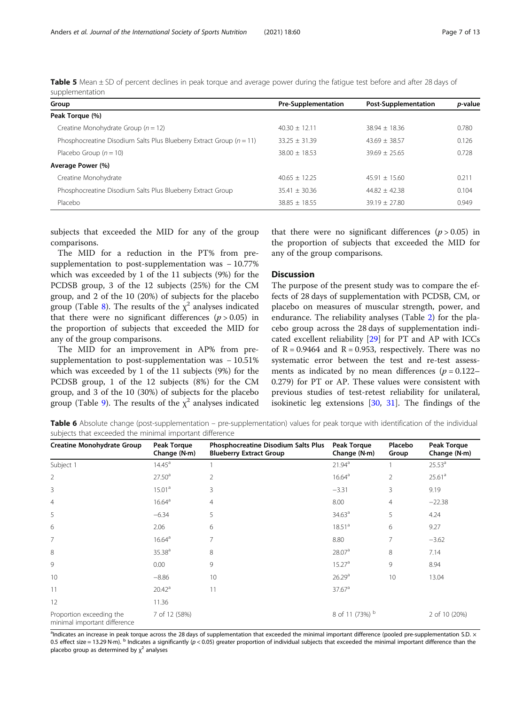<span id="page-6-0"></span>

| Table 5 Mean ± SD of percent declines in peak torque and average power during the fatigue test before and after 28 days of |  |  |  |  |
|----------------------------------------------------------------------------------------------------------------------------|--|--|--|--|
| supplementation                                                                                                            |  |  |  |  |

| Group                                                                    | <b>Pre-Supplementation</b> | <b>Post-Supplementation</b> | p-value |
|--------------------------------------------------------------------------|----------------------------|-----------------------------|---------|
| Peak Torque (%)                                                          |                            |                             |         |
| Creatine Monohydrate Group ( $n = 12$ )                                  | $40.30 + 12.11$            | $38.94 + 18.36$             | 0.780   |
| Phosphocreatine Disodium Salts Plus Blueberry Extract Group ( $n = 11$ ) | $33.25 \pm 31.39$          | $43.69 + 38.57$             | 0.126   |
| Placebo Group $(n = 10)$                                                 | $38.00 + 18.53$            | $39.69 + 25.65$             | 0.728   |
| Average Power (%)                                                        |                            |                             |         |
| Creatine Monohydrate                                                     | $40.65 + 12.25$            | $45.91 + 15.60$             | 0.211   |
| Phosphocreatine Disodium Salts Plus Blueberry Extract Group              | $35.41 \pm 30.36$          | $44.82 + 42.38$             | 0.104   |
| Placebo                                                                  | $38.85 + 18.55$            | $39.19 + 27.80$             | 0.949   |

subjects that exceeded the MID for any of the group comparisons.

The MID for a reduction in the PT% from presupplementation to post-supplementation was − 10.77% which was exceeded by 1 of the 11 subjects (9%) for the PCDSB group, 3 of the 12 subjects (25%) for the CM group, and 2 of the 10 (20%) of subjects for the placebo group (Table [8\)](#page-7-0). The results of the  $\chi^2$  analyses indicated that there were no significant differences  $(p > 0.05)$  in the proportion of subjects that exceeded the MID for any of the group comparisons.

The MID for an improvement in AP% from presupplementation to post-supplementation was − 10.51% which was exceeded by 1 of the 11 subjects (9%) for the PCDSB group, 1 of the 12 subjects (8%) for the CM group, and 3 of the 10 (30%) of subjects for the placebo group (Table [9\)](#page-8-0). The results of the  $\chi^2$  analyses indicated

that there were no significant differences  $(p > 0.05)$  in the proportion of subjects that exceeded the MID for any of the group comparisons.

## **Discussion**

The purpose of the present study was to compare the effects of 28 days of supplementation with PCDSB, CM, or placebo on measures of muscular strength, power, and endurance. The reliability analyses (Table [2\)](#page-4-0) for the placebo group across the 28 days of supplementation indicated excellent reliability [\[29](#page-11-0)] for PT and AP with ICCs of  $R = 0.9464$  and  $R = 0.953$ , respectively. There was no systematic error between the test and re-test assessments as indicated by no mean differences ( $p = 0.122$ – 0.279) for PT or AP. These values were consistent with previous studies of test-retest reliability for unilateral, isokinetic leg extensions [\[30](#page-11-0), [31](#page-11-0)]. The findings of the

Table 6 Absolute change (post-supplementation – pre-supplementation) values for peak torque with identification of the individual subjects that exceeded the minimal important difference

| <b>Creatine Monohydrate Group</b>                        | <b>Peak Torque</b><br>Change (N·m) | Phosphocreatine Disodium Salts Plus<br><b>Blueberry Extract Group</b> | <b>Peak Torque</b><br>Change (N·m) | Placebo<br>Group | <b>Peak Torque</b><br>Change (N·m) |
|----------------------------------------------------------|------------------------------------|-----------------------------------------------------------------------|------------------------------------|------------------|------------------------------------|
| Subject 1                                                | $14.45^{\circ}$                    |                                                                       | 21.94 <sup>a</sup>                 |                  | 25.53 <sup>a</sup>                 |
| $\overline{2}$                                           | 27.50 <sup>a</sup>                 | 2                                                                     | 16.64 <sup>a</sup>                 | $\overline{2}$   | 25.61 <sup>a</sup>                 |
| 3                                                        | 15.01 <sup>a</sup>                 | 3                                                                     | $-3.31$                            | 3                | 9.19                               |
| $\overline{4}$                                           | 16.64 <sup>a</sup>                 | 4                                                                     | 8.00                               | $\overline{4}$   | $-22.38$                           |
| 5                                                        | $-6.34$                            | 5                                                                     | 34.63 <sup>a</sup>                 | 5                | 4.24                               |
| 6                                                        | 2.06                               | 6                                                                     | 18.51 <sup>a</sup>                 | 6                | 9.27                               |
| 7                                                        | 16.64 <sup>a</sup>                 | 7                                                                     | 8.80                               | 7                | $-3.62$                            |
| 8                                                        | 35.38 <sup>a</sup>                 | $\,8\,$                                                               | 28.07 <sup>a</sup>                 | 8                | 7.14                               |
| 9                                                        | 0.00                               | 9                                                                     | 15.27 <sup>a</sup>                 | 9                | 8.94                               |
| 10                                                       | $-8.86$                            | 10                                                                    | 26.29 <sup>a</sup>                 | 10               | 13.04                              |
| 11                                                       | 20.42 <sup>a</sup>                 | 11                                                                    | 37.67 <sup>a</sup>                 |                  |                                    |
| 12                                                       | 11.36                              |                                                                       |                                    |                  |                                    |
| Proportion exceeding the<br>minimal important difference | 7 of 12 (58%)                      |                                                                       | 8 of 11 (73%) <sup>b</sup>         |                  | 2 of 10 (20%)                      |

<sup>a</sup>Indicates an increase in peak torque across the 28 days of supplementation that exceeded the minimal important difference (pooled pre-supplementation S.D. × 0.5 effect size = 13.29 N·m).  $^{\text{b}}$  Indicates a significantly (p < 0.05) greater proportion of individual subjects that exceeded the minimal important difference than the placebo group as determined by  $\chi^2$  analyses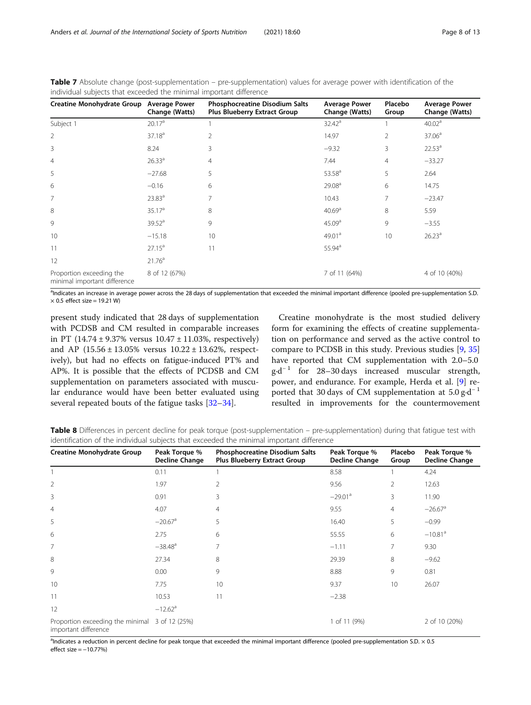| <b>Creatine Monohydrate Group</b>                        | <b>Average Power</b><br>Change (Watts) | <b>Phosphocreatine Disodium Salts</b><br>Plus Blueberry Extract Group | <b>Average Power</b><br>Change (Watts) | Placebo<br>Group | <b>Average Power</b><br>Change (Watts) |
|----------------------------------------------------------|----------------------------------------|-----------------------------------------------------------------------|----------------------------------------|------------------|----------------------------------------|
| Subject 1                                                | 20.17 <sup>a</sup>                     |                                                                       | $32.42^a$                              |                  | 40.02 <sup>a</sup>                     |
| $\overline{2}$                                           | 37.18 <sup>a</sup>                     | $\overline{2}$                                                        | 14.97                                  | 2                | 37.06 <sup>a</sup>                     |
| 3                                                        | 8.24                                   | 3                                                                     | $-9.32$                                | 3                | $22.53^a$                              |
| $\overline{4}$                                           | 26.33 <sup>a</sup>                     | 4                                                                     | 7.44                                   | 4                | $-33.27$                               |
| 5                                                        | $-27.68$                               | 5                                                                     | 53.58 <sup>a</sup>                     | 5                | 2.64                                   |
| 6                                                        | $-0.16$                                | 6                                                                     | 29.08 <sup>a</sup>                     | 6                | 14.75                                  |
| 7                                                        | 23.83 <sup>a</sup>                     | 7                                                                     | 10.43                                  | 7                | $-23.47$                               |
| 8                                                        | 35.17 <sup>a</sup>                     | 8                                                                     | 40.69 <sup>a</sup>                     | 8                | 5.59                                   |
| 9                                                        | 39.52 <sup>a</sup>                     | 9                                                                     | 45.09 <sup>a</sup>                     | 9                | $-3.55$                                |
| 10                                                       | $-15.18$                               | 10                                                                    | 49.01 <sup>a</sup>                     | 10               | 26.23 <sup>a</sup>                     |
| 11                                                       | $27.15^a$                              | 11                                                                    | 55.94 <sup>a</sup>                     |                  |                                        |
| 12                                                       | 21.76 <sup>a</sup>                     |                                                                       |                                        |                  |                                        |
| Proportion exceeding the<br>minimal important difference | 8 of 12 (67%)                          |                                                                       | 7 of 11 (64%)                          |                  | 4 of 10 (40%)                          |

<span id="page-7-0"></span>Table 7 Absolute change (post-supplementation – pre-supplementation) values for average power with identification of the individual subjects that exceeded the minimal important difference

<sup>a</sup>Indicates an increase in average power across the 28 days of supplementation that exceeded the minimal important difference (pooled pre-supplementation S.D.  $\times$  0.5 effect size = 19.21 W)

present study indicated that 28 days of supplementation with PCDSB and CM resulted in comparable increases in PT  $(14.74 \pm 9.37\% \text{ versus } 10.47 \pm 11.03\% \text{, respectively})$ and AP (15.56 ± 13.05% versus 10.22 ± 13.62%, respectively), but had no effects on fatigue-induced PT% and AP%. It is possible that the effects of PCDSB and CM supplementation on parameters associated with muscular endurance would have been better evaluated using several repeated bouts of the fatigue tasks [[32](#page-11-0)–[34](#page-11-0)].

Creatine monohydrate is the most studied delivery form for examining the effects of creatine supplementation on performance and served as the active control to compare to PCDSB in this study. Previous studies [[9](#page-10-0), [35](#page-11-0)] have reported that CM supplementation with 2.0–5.0  $g \cdot d^{-1}$  for 28–30 days increased muscular strength, power, and endurance. For example, Herda et al. [\[9](#page-10-0)] reported that 30 days of CM supplementation at  $5.0 \text{ g} \cdot \text{d}^{-1}$ resulted in improvements for the countermovement

Table 8 Differences in percent decline for peak torque (post-supplementation – pre-supplementation) during that fatigue test with identification of the individual subjects that exceeded the minimal important difference

| <b>Creatine Monohydrate Group</b>                                      | Peak Torque %<br><b>Decline Change</b> | <b>Phosphocreatine Disodium Salts</b><br><b>Plus Blueberry Extract Group</b> | Peak Torque %<br>Decline Change | Placebo<br>Group | Peak Torque %<br><b>Decline Change</b> |
|------------------------------------------------------------------------|----------------------------------------|------------------------------------------------------------------------------|---------------------------------|------------------|----------------------------------------|
|                                                                        | 0.11                                   |                                                                              | 8.58                            |                  | 4.24                                   |
| $\overline{2}$                                                         | 1.97                                   | 2                                                                            | 9.56                            | $\overline{2}$   | 12.63                                  |
| 3                                                                      | 0.91                                   | 3                                                                            | $-29.01$ <sup>a</sup>           | 3                | 11.90                                  |
| $\overline{4}$                                                         | 4.07                                   | 4                                                                            | 9.55                            | $\overline{4}$   | $-26.67$ <sup>a</sup>                  |
| 5                                                                      | $-20.67$ <sup>a</sup>                  | 5                                                                            | 16.40                           | 5                | $-0.99$                                |
| 6                                                                      | 2.75                                   | 6                                                                            | 55.55                           | 6                | $-10.81$ <sup>a</sup>                  |
| 7                                                                      | $-38.48$ <sup>a</sup>                  | 7                                                                            | $-1.11$                         | 7                | 9.30                                   |
| 8                                                                      | 27.34                                  | 8                                                                            | 29.39                           | 8                | $-9.62$                                |
| 9                                                                      | 0.00                                   | 9                                                                            | 8.88                            | 9                | 0.81                                   |
| 10                                                                     | 7.75                                   | 10                                                                           | 9.37                            | 10               | 26.07                                  |
| 11                                                                     | 10.53                                  | 11                                                                           | $-2.38$                         |                  |                                        |
| 12                                                                     | $-12.62$ <sup>a</sup>                  |                                                                              |                                 |                  |                                        |
| Proportion exceeding the minimal 3 of 12 (25%)<br>important difference |                                        |                                                                              | 1 of 11 (9%)                    |                  | 2 of 10 (20%)                          |

<sup>a</sup>Indicates a reduction in percent decline for peak torque that exceeded the minimal important difference (pooled pre-supplementation S.D. × 0.5  $effect$  size =  $-10.77%$ )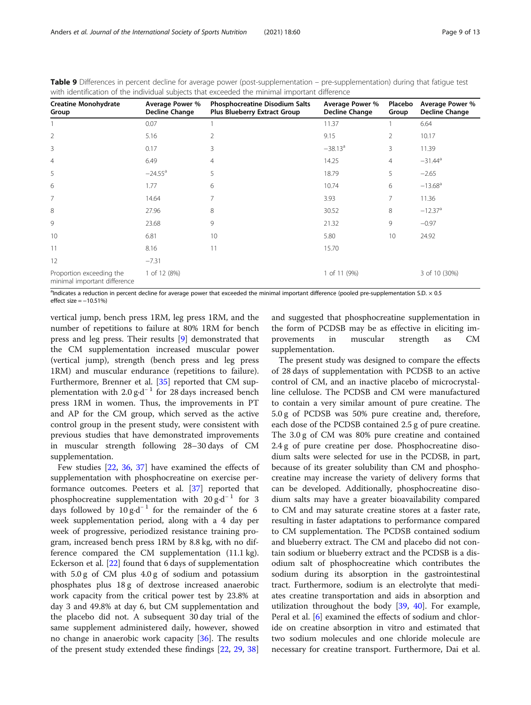| <b>Creatine Monohydrate</b><br>Group                     | Average Power %<br><b>Decline Change</b> | Phosphocreatine Disodium Salts<br>Plus Blueberry Extract Group | Average Power %<br>Decline Change | Placebo<br>Group | Average Power %<br><b>Decline Change</b> |
|----------------------------------------------------------|------------------------------------------|----------------------------------------------------------------|-----------------------------------|------------------|------------------------------------------|
|                                                          | 0.07                                     |                                                                | 11.37                             |                  | 6.64                                     |
| $\overline{2}$                                           | 5.16                                     | $\overline{2}$                                                 | 9.15                              | $\overline{2}$   | 10.17                                    |
| 3                                                        | 0.17                                     | 3                                                              | $-38.13^a$                        | 3                | 11.39                                    |
| $\overline{4}$                                           | 6.49                                     | 4                                                              | 14.25                             | $\overline{4}$   | $-31.44$ <sup>a</sup>                    |
| 5                                                        | $-24.55$ <sup>a</sup>                    | 5                                                              | 18.79                             | 5                | $-2.65$                                  |
| 6                                                        | 1.77                                     | 6                                                              | 10.74                             | 6                | $-13.68$ <sup>a</sup>                    |
| 7                                                        | 14.64                                    | 7                                                              | 3.93                              | 7                | 11.36                                    |
| 8                                                        | 27.96                                    | 8                                                              | 30.52                             | 8                | $-12.37$ <sup>a</sup>                    |
| 9                                                        | 23.68                                    | 9                                                              | 21.32                             | 9                | $-0.97$                                  |
| 10                                                       | 6.81                                     | 10                                                             | 5.80                              | 10               | 24.92                                    |
| 11                                                       | 8.16                                     | 11                                                             | 15.70                             |                  |                                          |
| 12                                                       | $-7.31$                                  |                                                                |                                   |                  |                                          |
| Proportion exceeding the<br>minimal important difference | 1 of 12 (8%)                             |                                                                | 1 of 11 (9%)                      |                  | 3 of 10 (30%)                            |

<span id="page-8-0"></span>Table 9 Differences in percent decline for average power (post-supplementation – pre-supplementation) during that fatigue test with identification of the individual subjects that exceeded the minimal important difference

<sup>a</sup>Indicates a reduction in percent decline for average power that exceeded the minimal important difference (pooled pre-supplementation S.D. × 0.5 effect size  $= -10.51%$ 

vertical jump, bench press 1RM, leg press 1RM, and the number of repetitions to failure at 80% 1RM for bench press and leg press. Their results [[9](#page-10-0)] demonstrated that the CM supplementation increased muscular power (vertical jump), strength (bench press and leg press 1RM) and muscular endurance (repetitions to failure). Furthermore, Brenner et al. [\[35](#page-11-0)] reported that CM supplementation with 2.0 g⋅d<sup>-1</sup> for 28 days increased bench press 1RM in women. Thus, the improvements in PT and AP for the CM group, which served as the active control group in the present study, were consistent with previous studies that have demonstrated improvements in muscular strength following 28–30 days of CM supplementation.

Few studies [[22](#page-11-0), [36](#page-11-0), [37](#page-11-0)] have examined the effects of supplementation with phosphocreatine on exercise performance outcomes. Peeters et al. [\[37\]](#page-11-0) reported that phosphocreatine supplementation with  $20 g \cdot d^{-1}$  for 3 days followed by  $10 \text{ g} \cdot d^{-1}$  for the remainder of the 6 week supplementation period, along with a 4 day per week of progressive, periodized resistance training program, increased bench press 1RM by 8.8 kg, with no difference compared the CM supplementation (11.1 kg). Eckerson et al. [\[22](#page-11-0)] found that 6 days of supplementation with 5.0 g of CM plus 4.0 g of sodium and potassium phosphates plus 18 g of dextrose increased anaerobic work capacity from the critical power test by 23.8% at day 3 and 49.8% at day 6, but CM supplementation and the placebo did not. A subsequent 30 day trial of the same supplement administered daily, however, showed no change in anaerobic work capacity [\[36](#page-11-0)]. The results of the present study extended these findings [[22,](#page-11-0) [29](#page-11-0), [38](#page-11-0)]

and suggested that phosphocreatine supplementation in the form of PCDSB may be as effective in eliciting improvements in muscular strength as CM supplementation.

The present study was designed to compare the effects of 28 days of supplementation with PCDSB to an active control of CM, and an inactive placebo of microcrystalline cellulose. The PCDSB and CM were manufactured to contain a very similar amount of pure creatine. The 5.0 g of PCDSB was 50% pure creatine and, therefore, each dose of the PCDSB contained 2.5 g of pure creatine. The 3.0 g of CM was 80% pure creatine and contained 2.4 g of pure creatine per dose. Phosphocreatine disodium salts were selected for use in the PCDSB, in part, because of its greater solubility than CM and phosphocreatine may increase the variety of delivery forms that can be developed. Additionally, phosphocreatine disodium salts may have a greater bioavailability compared to CM and may saturate creatine stores at a faster rate, resulting in faster adaptations to performance compared to CM supplementation. The PCDSB contained sodium and blueberry extract. The CM and placebo did not contain sodium or blueberry extract and the PCDSB is a disodium salt of phosphocreatine which contributes the sodium during its absorption in the gastrointestinal tract. Furthermore, sodium is an electrolyte that mediates creatine transportation and aids in absorption and utilization throughout the body [\[39,](#page-11-0) [40\]](#page-11-0). For example, Peral et al. [[6\]](#page-10-0) examined the effects of sodium and chloride on creatine absorption in vitro and estimated that two sodium molecules and one chloride molecule are necessary for creatine transport. Furthermore, Dai et al.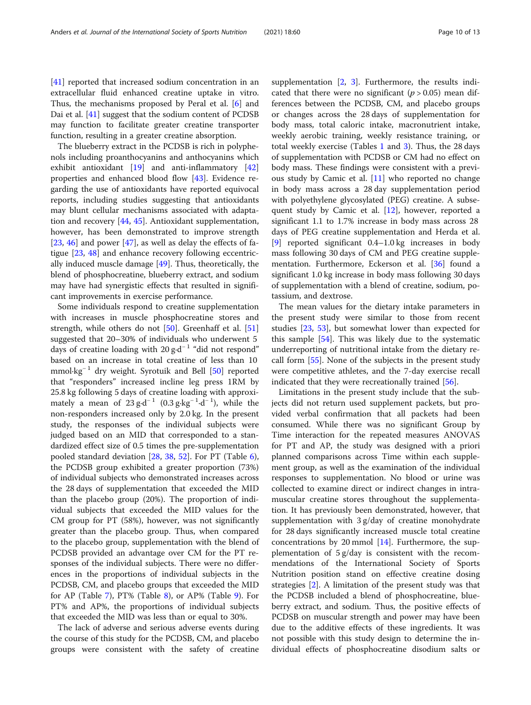The blueberry extract in the PCDSB is rich in polyphenols including proanthocyanins and anthocyanins which exhibit antioxidant [\[19](#page-11-0)] and anti-inflammatory [[42](#page-11-0)] properties and enhanced blood flow [\[43](#page-11-0)]. Evidence regarding the use of antioxidants have reported equivocal reports, including studies suggesting that antioxidants may blunt cellular mechanisms associated with adaptation and recovery [[44,](#page-11-0) [45\]](#page-11-0). Antioxidant supplementation, however, has been demonstrated to improve strength [[23,](#page-11-0) [46\]](#page-11-0) and power [\[47](#page-11-0)], as well as delay the effects of fatigue [\[23](#page-11-0), [48\]](#page-11-0) and enhance recovery following eccentrically induced muscle damage [\[49\]](#page-11-0). Thus, theoretically, the blend of phosphocreatine, blueberry extract, and sodium may have had synergistic effects that resulted in significant improvements in exercise performance.

Some individuals respond to creatine supplementation with increases in muscle phosphocreatine stores and strength, while others do not [\[50](#page-11-0)]. Greenhaff et al. [[51](#page-11-0)] suggested that 20–30% of individuals who underwent 5 days of creatine loading with 20 g⋅d<sup>-1</sup> "did not respond" based on an increase in total creatine of less than 10 mmol·kg<sup>-1</sup> dry weight. Syrotuik and Bell [\[50](#page-11-0)] reported that "responders" increased incline leg press 1RM by 25.8 kg following 5 days of creatine loading with approximately a mean of  $23 \text{ g} \cdot \text{d}^{-1}$  (0.3 g $\cdot \text{kg}^{-1} \cdot \text{d}^{-1}$ ), while the non-responders increased only by 2.0 kg. In the present study, the responses of the individual subjects were judged based on an MID that corresponded to a standardized effect size of 0.5 times the pre-supplementation pooled standard deviation [[28,](#page-11-0) [38,](#page-11-0) [52\]](#page-11-0). For PT (Table [6](#page-6-0)), the PCDSB group exhibited a greater proportion (73%) of individual subjects who demonstrated increases across the 28 days of supplementation that exceeded the MID than the placebo group (20%). The proportion of individual subjects that exceeded the MID values for the CM group for PT (58%), however, was not significantly greater than the placebo group. Thus, when compared to the placebo group, supplementation with the blend of PCDSB provided an advantage over CM for the PT responses of the individual subjects. There were no differences in the proportions of individual subjects in the PCDSB, CM, and placebo groups that exceeded the MID for AP (Table [7\)](#page-7-0), PT% (Table [8\)](#page-7-0), or AP% (Table [9\)](#page-8-0). For PT% and AP%, the proportions of individual subjects that exceeded the MID was less than or equal to 30%.

The lack of adverse and serious adverse events during the course of this study for the PCDSB, CM, and placebo groups were consistent with the safety of creatine supplementation  $[2, 3]$  $[2, 3]$  $[2, 3]$  $[2, 3]$ . Furthermore, the results indicated that there were no significant ( $p > 0.05$ ) mean differences between the PCDSB, CM, and placebo groups or changes across the 28 days of supplementation for body mass, total caloric intake, macronutrient intake, weekly aerobic training, weekly resistance training, or total weekly exercise (Tables [1](#page-3-0) and [3\)](#page-5-0). Thus, the 28 days of supplementation with PCDSB or CM had no effect on body mass. These findings were consistent with a previous study by Camic et al. [\[11\]](#page-10-0) who reported no change in body mass across a 28 day supplementation period with polyethylene glycosylated (PEG) creatine. A subsequent study by Camic et al. [[12\]](#page-11-0), however, reported a significant 1.1 to 1.7% increase in body mass across 28 days of PEG creatine supplementation and Herda et al. [[9\]](#page-10-0) reported significant 0.4–1.0 kg increases in body mass following 30 days of CM and PEG creatine supplementation. Furthermore, Eckerson et al. [[36](#page-11-0)] found a significant 1.0 kg increase in body mass following 30 days of supplementation with a blend of creatine, sodium, potassium, and dextrose.

The mean values for the dietary intake parameters in the present study were similar to those from recent studies [\[23,](#page-11-0) [53\]](#page-11-0), but somewhat lower than expected for this sample [[54\]](#page-12-0). This was likely due to the systematic underreporting of nutritional intake from the dietary recall form [\[55](#page-12-0)]. None of the subjects in the present study were competitive athletes, and the 7-day exercise recall indicated that they were recreationally trained [\[56](#page-12-0)].

Limitations in the present study include that the subjects did not return used supplement packets, but provided verbal confirmation that all packets had been consumed. While there was no significant Group by Time interaction for the repeated measures ANOVAS for PT and AP, the study was designed with a priori planned comparisons across Time within each supplement group, as well as the examination of the individual responses to supplementation. No blood or urine was collected to examine direct or indirect changes in intramuscular creatine stores throughout the supplementation. It has previously been demonstrated, however, that supplementation with 3 g/day of creatine monohydrate for 28 days significantly increased muscle total creatine concentrations by 20 mmol  $[14]$ . Furthermore, the supplementation of 5 g/day is consistent with the recommendations of the International Society of Sports Nutrition position stand on effective creatine dosing strategies [\[2](#page-10-0)]. A limitation of the present study was that the PCDSB included a blend of phosphocreatine, blueberry extract, and sodium. Thus, the positive effects of PCDSB on muscular strength and power may have been due to the additive effects of these ingredients. It was not possible with this study design to determine the individual effects of phosphocreatine disodium salts or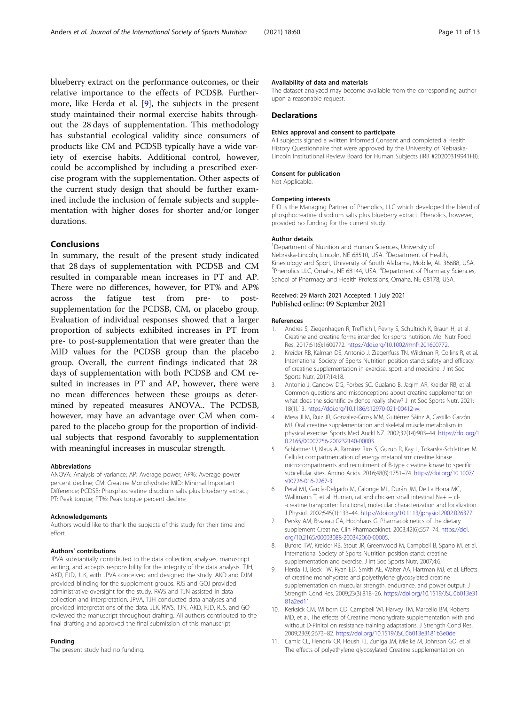<span id="page-10-0"></span>blueberry extract on the performance outcomes, or their relative importance to the effects of PCDSB. Furthermore, like Herda et al. [9], the subjects in the present study maintained their normal exercise habits throughout the 28 days of supplementation. This methodology has substantial ecological validity since consumers of products like CM and PCDSB typically have a wide variety of exercise habits. Additional control, however, could be accomplished by including a prescribed exercise program with the supplementation. Other aspects of the current study design that should be further examined include the inclusion of female subjects and supplementation with higher doses for shorter and/or longer durations.

## Conclusions

In summary, the result of the present study indicated that 28 days of supplementation with PCDSB and CM resulted in comparable mean increases in PT and AP. There were no differences, however, for PT% and AP% across the fatigue test from pre- to postsupplementation for the PCDSB, CM, or placebo group. Evaluation of individual responses showed that a larger proportion of subjects exhibited increases in PT from pre- to post-supplementation that were greater than the MID values for the PCDSB group than the placebo group. Overall, the current findings indicated that 28 days of supplementation with both PCDSB and CM resulted in increases in PT and AP, however, there were no mean differences between these groups as determined by repeated measures ANOVA.. The PCDSB, however, may have an advantage over CM when compared to the placebo group for the proportion of individual subjects that respond favorably to supplementation with meaningful increases in muscular strength.

#### Abbreviations

ANOVA: Analysis of variance; AP: Average power; AP%: Average power percent decline; CM: Creatine Monohydrate; MID: Minimal Important Difference; PCDSB: Phosphocreatine disodium salts plus blueberry extract; PT: Peak torque; PT%: Peak torque percent decline

#### Acknowledgements

Authors would like to thank the subjects of this study for their time and effort.

#### Authors' contributions

JPVA substantially contributed to the data collection, analyses, manuscript writing, and accepts responsibility for the integrity of the data analysis. TJH, AKD, FJD, JLK, with JPVA conceived and designed the study. AKD and DJM provided blinding for the supplement groups. RJS and GOJ provided administrative oversight for the study. RWS and TJN assisted in data collection and interpretation. JPVA, TJH conducted data analyses and provided interpretations of the data. JLK, RWS, TJN, AKD, FJD, RJS, and GO reviewed the manuscript throughout drafting. All authors contributed to the final drafting and approved the final submission of this manuscript.

#### Funding

The present study had no funding.

#### Availability of data and materials

The dataset analyzed may become available from the corresponding author upon a reasonable request.

## **Declarations**

#### Ethics approval and consent to participate

All subjects signed a written Informed Consent and completed a Health History Questionnaire that were approved by the University of Nebraska-Lincoln Institutional Review Board for Human Subjects (IRB #20200319941FB).

## Consent for publication

Not Applicable.

#### Competing interests

FJD is the Managing Partner of Phenolics, LLC which developed the blend of phosphocreatine disodium salts plus blueberry extract. Phenolics, however, provided no funding for the current study.

#### Author details

<sup>1</sup>Department of Nutrition and Human Sciences, University of Nebraska-Lincoln, Lincoln, NE 68510, USA. <sup>2</sup>Department of Health Kinesiology and Sport, University of South Alabama, Mobile, AL 36688, USA. <sup>3</sup>Phenolics LLC, Omaha, NE 68144, USA. <sup>4</sup>Department of Pharmacy Sciences, School of Pharmacy and Health Professions, Omaha, NE 68178, USA.

## Received: 29 March 2021 Accepted: 1 July 2021 Published online: 09 September 2021

#### References

- 1. Andres S, Ziegenhagen R, Trefflich I, Pevny S, Schultrich K, Braun H, et al. Creatine and creatine forms intended for sports nutrition. Mol Nutr Food Res. 2017;61(6):1600772. <https://doi.org/10.1002/mnfr.201600772>.
- 2. Kreider RB, Kalman DS, Antonio J, Ziegenfuss TN, Wildman R, Collins R, et al. International Society of Sports Nutrition position stand: safety and efficacy of creatine supplementation in exercise, sport, and medicine. J Int Soc Sports Nutr. 2017;14:18.
- 3. Antonio J, Candow DG, Forbes SC, Gualano B, Jagim AR, Kreider RB, et al. Common questions and misconceptions about creatine supplementation: what does the scientific evidence really show? J Int Soc Sports Nutr. 2021; 18(1):13. [https://doi.org/10.1186/s12970-021-00412-w.](https://doi.org/10.1186/s12970-021-00412-w)
- 4. Mesa JLM, Ruiz JR, González-Gross MM, Gutiérrez Sáinz A, Castillo Garzón MJ. Oral creatine supplementation and skeletal muscle metabolism in physical exercise. Sports Med Auckl NZ. 2002;32(14):903–44. [https://doi.org/1](https://doi.org/10.2165/00007256-200232140-00003) [0.2165/00007256-200232140-00003.](https://doi.org/10.2165/00007256-200232140-00003)
- 5. Schlattner U, Klaus A, Ramirez Rios S, Guzun R, Kay L, Tokarska-Schlattner M. Cellular compartmentation of energy metabolism: creatine kinase microcompartments and recruitment of B-type creatine kinase to specific subcellular sites. Amino Acids. 2016;48(8):1751–74. [https://doi.org/10.1007/](https://doi.org/10.1007/s00726-016-2267-3) [s00726-016-2267-3.](https://doi.org/10.1007/s00726-016-2267-3)
- 6. Peral MJ, García-Delgado M, Calonge ML, Durán JM, De La Horra MC, Wallimann T, et al. Human, rat and chicken small intestinal Na+ − cl- -creatine transporter: functional, molecular characterization and localization. J Physiol. 2002;545(1):133–44. <https://doi.org/10.1113/jphysiol.2002.026377>.
- Persky AM, Brazeau GA, Hochhaus G. Pharmacokinetics of the dietary supplement Creatine. Clin Pharmacokinet. 2003;42(6):557–74. [https://doi.](https://doi.org/10.2165/00003088-200342060-00005) [org/10.2165/00003088-200342060-00005](https://doi.org/10.2165/00003088-200342060-00005).
- 8. Buford TW, Kreider RB, Stout JR, Greenwood M, Campbell B, Spano M, et al. International Society of Sports Nutrition position stand: creatine supplementation and exercise. J Int Soc Sports Nutr. 2007;4:6.
- 9. Herda TJ, Beck TW, Ryan ED, Smith AE, Walter AA, Hartman MJ, et al. Effects of creatine monohydrate and polyethylene glycosylated creatine supplementation on muscular strength, endurance, and power output. J Strength Cond Res. 2009;23(3):818–26. [https://doi.org/10.1519/JSC.0b013e31](https://doi.org/10.1519/JSC.0b013e3181a2ed11) [81a2ed11](https://doi.org/10.1519/JSC.0b013e3181a2ed11).
- 10. Kerksick CM, Wilborn CD, Campbell WI, Harvey TM, Marcello BM, Roberts MD, et al. The effects of Creatine monohydrate supplementation with and without D-Pinitol on resistance training adaptations. J Strength Cond Res. 2009;23(9):2673–82. <https://doi.org/10.1519/JSC.0b013e3181b3e0de>.
- 11. Camic CL, Hendrix CR, Housh TJ, Zuniga JM, Mielke M, Johnson GO, et al. The effects of polyethylene glycosylated Creatine supplementation on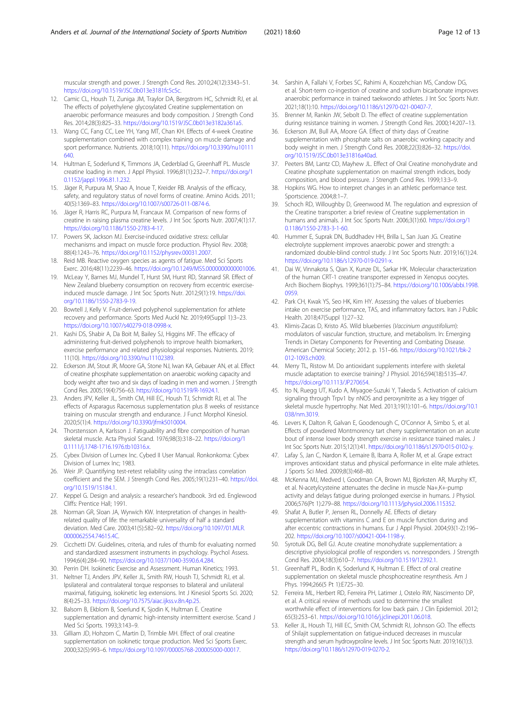<span id="page-11-0"></span>muscular strength and power. J Strength Cond Res. 2010;24(12):3343–51. <https://doi.org/10.1519/JSC.0b013e3181fc5c5c>.

- 12. Camic CL, Housh TJ, Zuniga JM, Traylor DA, Bergstrom HC, Schmidt RJ, et al. The effects of polyethylene glycosylated Creatine supplementation on anaerobic performance measures and body composition. J Strength Cond Res. 2014;28(3):825–33. <https://doi.org/10.1519/JSC.0b013e3182a361a5>.
- 13. Wang CC, Fang CC, Lee YH, Yang MT, Chan KH. Effects of 4-week Creatine supplementation combined with complex training on muscle damage and sport performance. Nutrients. 2018;10(11). [https://doi.org/10.3390/nu10111](https://doi.org/10.3390/nu10111640) [640.](https://doi.org/10.3390/nu10111640)
- 14. Hultman E, Soderlund K, Timmons JA, Cederblad G, Greenhaff PL. Muscle creatine loading in men. J Appl Physiol. 1996;81(1):232–7. [https://doi.org/1](https://doi.org/10.1152/jappl.1996.81.1.232) [0.1152/jappl.1996.81.1.232](https://doi.org/10.1152/jappl.1996.81.1.232).
- 15. Jäger R, Purpura M, Shao A, Inoue T, Kreider RB. Analysis of the efficacy, safety, and regulatory status of novel forms of creatine. Amino Acids. 2011; 40(5):1369–83. [https://doi.org/10.1007/s00726-011-0874-6.](https://doi.org/10.1007/s00726-011-0874-6)
- 16. Jäger R, Harris RC, Purpura M, Francaux M. Comparison of new forms of creatine in raising plasma creatine levels. J Int Soc Sports Nutr. 2007;4(1):17. [https://doi.org/10.1186/1550-2783-4-17.](https://doi.org/10.1186/1550-2783-4-17)
- 17. Powers SK, Jackson MJ. Exercise-induced oxidative stress: cellular mechanisms and impact on muscle force production. Physiol Rev. 2008; 88(4):1243–76. [https://doi.org/10.1152/physrev.00031.2007.](https://doi.org/10.1152/physrev.00031.2007)
- 18. Reid MB. Reactive oxygen species as agents of fatigue. Med Sci Sports Exerc. 2016;48(11):2239–46. [https://doi.org/10.1249/MSS.0000000000001006.](https://doi.org/10.1249/MSS.0000000000001006)
- 19. McLeay Y, Barnes MJ, Mundel T, Hurst SM, Hurst RD, Stannard SR. Effect of New Zealand blueberry consumption on recovery from eccentric exerciseinduced muscle damage. J Int Soc Sports Nutr. 2012;9(1):19. [https://doi.](https://doi.org/10.1186/1550-2783-9-19) [org/10.1186/1550-2783-9-19.](https://doi.org/10.1186/1550-2783-9-19)
- 20. Bowtell J, Kelly V. Fruit-derived polyphenol supplementation for athlete recovery and performance. Sports Med Auckl Nz. 2019;49(Suppl 1):3–23. [https://doi.org/10.1007/s40279-018-0998-x.](https://doi.org/10.1007/s40279-018-0998-x)
- 21. Kashi DS, Shabir A, Da Boit M, Bailey SJ, Higgins MF. The efficacy of administering fruit-derived polyphenols to improve health biomarkers, exercise performance and related physiological responses. Nutrients. 2019; 11(10). <https://doi.org/10.3390/nu11102389>.
- 22. Eckerson JM, Stout JR, Moore GA, Stone NJ, Iwan KA, Gebauer AN, et al. Effect of creatine phosphate supplementation on anaerobic working capacity and body weight after two and six days of loading in men and women. J Strength Cond Res. 2005;19(4):756–63. [https://doi.org/10.1519/R-16924.1.](https://doi.org/10.1519/R-16924.1)
- 23. Anders JPV, Keller JL, Smith CM, Hill EC, Housh TJ, Schmidt RJ, et al. The effects of Asparagus Racemosus supplementation plus 8 weeks of resistance training on muscular strength and endurance. J Funct Morphol Kinesiol. 2020;5(1):4. <https://doi.org/10.3390/jfmk5010004>.
- 24. Thorstensson A, Karlsson J. Fatiguability and fibre composition of human skeletal muscle. Acta Physiol Scand. 1976;98(3):318–22. [https://doi.org/1](https://doi.org/10.1111/j.1748-1716.1976.tb10316.x) [0.1111/j.1748-1716.1976.tb10316.x.](https://doi.org/10.1111/j.1748-1716.1976.tb10316.x)
- 25. Cybex Division of Lumex Inc. Cybed II User Manual. Ronkonkoma: Cybex Division of Lumex Inc; 1983.
- 26. Weir JP. Quantifying test-retest reliability using the intraclass correlation coefficient and the SEM. J Strength Cond Res. 2005;19(1):231–40. [https://doi.](https://doi.org/10.1519/15184.1) [org/10.1519/15184.1.](https://doi.org/10.1519/15184.1)
- 27. Keppel G. Design and analysis: a researcher's handbook. 3rd ed. Englewood Cliffs: Prentice Hall; 1991.
- 28. Norman GR, Sloan JA, Wyrwich KW. Interpretation of changes in healthrelated quality of life: the remarkable universality of half a standard deviation. Med Care. 2003;41(5):582–92. [https://doi.org/10.1097/01.MLR.](https://doi.org/10.1097/01.MLR.0000062554.74615.4C) [0000062554.74615.4C.](https://doi.org/10.1097/01.MLR.0000062554.74615.4C)
- 29. Cicchetti DV. Guidelines, criteria, and rules of thumb for evaluating normed and standardized assessment instruments in psychology. Psychol Assess. 1994;6(4):284–90. <https://doi.org/10.1037/1040-3590.6.4.284>.
- 30. Perrin DH. Isokinetic Exercise and Assessment. Human Kinetics; 1993.
- 31. Neltner TJ, Anders JPV, Keller JL, Smith RW, Housh TJ, Schmidt RJ, et al. Ipsilateral and contralateral torque responses to bilateral and unilateral maximal, fatiguing, isokinetic leg extensions. Int J Kinesiol Sports Sci. 2020; 8(4):25–33. [https://doi.org/10.7575/aiac.ijkss.v.8n.4p.25.](https://doi.org/10.7575/aiac.ijkss.v.8n.4p.25)
- 32. Balsom B, Ekblom B, Soerlund K, Sjodin K, Hultman E. Creatine supplementation and dynamic high-intensity intermittent exercise. Scand J Med Sci Sports. 1993;3:143–9.
- 33. Gilliam JD, Hohzorn C, Martin D, Trimble MH. Effect of oral creatine supplementation on isokinetic torque production. Med Sci Sports Exerc. 2000;32(5):993–6. [https://doi.org/10.1097/00005768-200005000-00017.](https://doi.org/10.1097/00005768-200005000-00017)
- 34. Sarshin A, Fallahi V, Forbes SC, Rahimi A, Koozehchian MS, Candow DG, et al. Short-term co-ingestion of creatine and sodium bicarbonate improves anaerobic performance in trained taekwondo athletes. J Int Soc Sports Nutr. 2021;18(1):10. [https://doi.org/10.1186/s12970-021-00407-7.](https://doi.org/10.1186/s12970-021-00407-7)
- 35. Brenner M, Rankin JW, Sebolt D. The effect of creatine supplementation during resistance training in women. J Strength Cond Res. 2000;14:207–13.
- 36. Eckerson JM, Bull AA, Moore GA. Effect of thirty days of Creatine supplementation with phosphate salts on anaerobic working capacity and body weight in men. J Strength Cond Res. 2008;22(3):826–32. [https://doi.](https://doi.org/10.1519/JSC.0b013e31816a40ad) [org/10.1519/JSC.0b013e31816a40ad.](https://doi.org/10.1519/JSC.0b013e31816a40ad)
- 37. Peeters BM, Lantz CD, Mayhew JL. Effect of Oral Creatine monohydrate and Creatine phosphate supplementation on maximal strength indices, body composition, and blood pressure. J Strength Cond Res. 1999;13:3–9.
- 38. Hopkins WG. How to interpret changes in an athletic performance test. Sportscience. 2004;8:1–7.
- 39. Schoch RD, Willoughby D, Greenwood M. The regulation and expression of the Creatine transporter: a brief review of Creatine supplementation in humans and animals. J Int Soc Sports Nutr. 2006;3(1):60. [https://doi.org/1](https://doi.org/10.1186/1550-2783-3-1-60) [0.1186/1550-2783-3-1-60.](https://doi.org/10.1186/1550-2783-3-1-60)
- 40. Hummer E, Suprak DN, Buddhadev HH, Brilla L, San Juan JG. Creatine electrolyte supplement improves anaerobic power and strength: a randomized double-blind control study. J Int Soc Sports Nutr. 2019;16(1):24. [https://doi.org/10.1186/s12970-019-0291-x.](https://doi.org/10.1186/s12970-019-0291-x)
- 41. Dai W, Vinnakota S, Qian X, Kunze DL, Sarkar HK. Molecular characterization of the human CRT-1 creatine transporter expressed in Xenopus oocytes. Arch Biochem Biophys. 1999;361(1):75–84. [https://doi.org/10.1006/abbi.1998.](https://doi.org/10.1006/abbi.1998.0959) [0959](https://doi.org/10.1006/abbi.1998.0959).
- 42. Park CH, Kwak YS, Seo HK, Kim HY. Assessing the values of blueberries intake on exercise performance, TAS, and inflammatory factors. Iran J Public Health. 2018;47(Suppl 1):27–32.
- 43. Klimis-Zacas D, Kristo AS. Wild blueberries (Vaccinium angustifolium): modulators of vascular function, structure, and metabolism. In: Emerging Trends in Dietary Components for Preventing and Combating Disease. American Chemical Society; 2012. p. 151–66. [https://doi.org/10.1021/bk-2](https://doi.org/10.1021/bk-2012-1093.ch009) [012-1093.ch009](https://doi.org/10.1021/bk-2012-1093.ch009).
- 44. Merry TL, Ristow M. Do antioxidant supplements interfere with skeletal muscle adaptation to exercise training? J Physiol. 2016;594(18):5135–47. <https://doi.org/10.1113/JP270654>.
- 45. Ito N, Ruegg UT, Kudo A, Miyagoe-Suzuki Y, Takeda S. Activation of calcium signaling through Trpv1 by nNOS and peroxynitrite as a key trigger of skeletal muscle hypertrophy. Nat Med. 2013;19(1):101–6. [https://doi.org/10.1](https://doi.org/10.1038/nm.3019) [038/nm.3019.](https://doi.org/10.1038/nm.3019)
- 46. Levers K, Dalton R, Galvan E, Goodenough C, O'Connor A, Simbo S, et al. Effects of powdered Montmorency tart cherry supplementation on an acute bout of intense lower body strength exercise in resistance trained males. J Int Soc Sports Nutr. 2015;12(1):41. [https://doi.org/10.1186/s12970-015-0102-y.](https://doi.org/10.1186/s12970-015-0102-y)
- 47. Lafay S, Jan C, Nardon K, Lemaire B, Ibarra A, Roller M, et al. Grape extract improves antioxidant status and physical performance in elite male athletes. J Sports Sci Med. 2009;8(3):468–80.
- 48. McKenna MJ, Medved I, Goodman CA, Brown MJ, Bjorksten AR, Murphy KT, et al. N-acetylcysteine attenuates the decline in muscle Na+,K+-pump activity and delays fatigue during prolonged exercise in humans. J Physiol. 2006;576(Pt 1):279–88. <https://doi.org/10.1113/jphysiol.2006.115352>.
- 49. Shafat A, Butler P, Jensen RL, Donnelly AE. Effects of dietary supplementation with vitamins C and E on muscle function during and after eccentric contractions in humans. Eur J Appl Physiol. 2004;93(1-2):196– 202. <https://doi.org/10.1007/s00421-004-1198-y>.
- 50. Syrotuik DG, Bell GJ. Acute creatine monohydrate supplementation: a descriptive physiological profile of responders vs. nonresponders. J Strength Cond Res. 2004;18(3):610–7. [https://doi.org/10.1519/12392.1.](https://doi.org/10.1519/12392.1)
- 51. Greenhaff PL, Bodin K, Soderlund K, Hultman E. Effect of oral creatine supplementation on skeletal muscle phosphocreatine resynthesis. Am J Phys. 1994;266(5 Pt 1):E725–30.
- 52. Ferreira ML, Herbert RD, Ferreira PH, Latimer J, Ostelo RW, Nascimento DP, et al. A critical review of methods used to determine the smallest worthwhile effect of interventions for low back pain. J Clin Epidemiol. 2012; 65(3):253–61. <https://doi.org/10.1016/j.jclinepi.2011.06.018>.
- 53. Keller JL, Housh TJ, Hill EC, Smith CM, Schmidt RJ, Johnson GO. The effects of Shilajit supplementation on fatigue-induced decreases in muscular strength and serum hydroxyproline levels. J Int Soc Sports Nutr. 2019;16(1):3. <https://doi.org/10.1186/s12970-019-0270-2>.